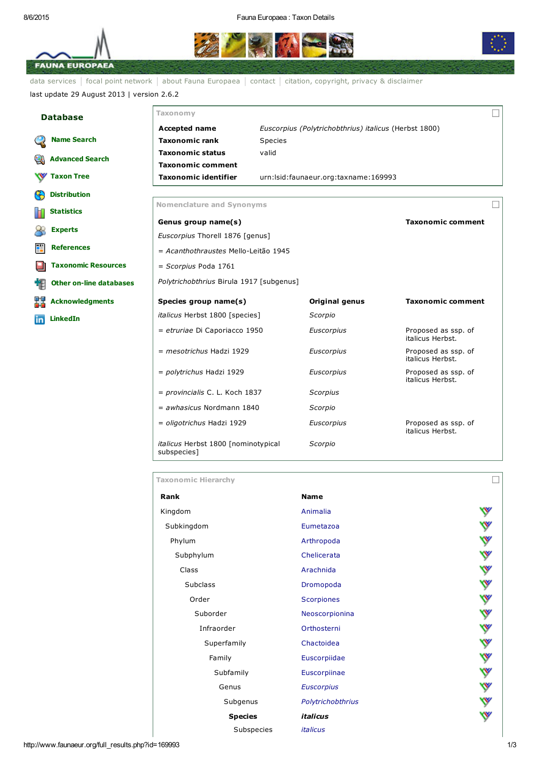## 8/6/2015 Fauna Europaea : Taxon Details





data [services](http://www.faunaeur.org/index.php) | focal point [network](http://www.faunaeur.org/focal_point.php) | about Fauna [Europaea](http://www.faunaeur.org/about_fauna_intro.php) | [contact](http://www.faunaeur.org/contact.php) | citation, copyright, privacy & [disclaimer](http://www.faunaeur.org/copyright.php) last update 29 August 2013 | version 2.6.2

| <b>Database</b> |                                | Taxonomy                                                                           |         |                                                       |                                         |  |  |
|-----------------|--------------------------------|------------------------------------------------------------------------------------|---------|-------------------------------------------------------|-----------------------------------------|--|--|
|                 |                                | <b>Accepted name</b>                                                               |         | Euscorpius (Polytrichobthrius) italicus (Herbst 1800) |                                         |  |  |
|                 | <b>Name Search</b>             | <b>Taxonomic rank</b>                                                              | Species |                                                       |                                         |  |  |
|                 | <b>Advanced Search</b>         | <b>Taxonomic status</b>                                                            | valid   |                                                       |                                         |  |  |
|                 |                                | <b>Taxonomic comment</b>                                                           |         |                                                       |                                         |  |  |
|                 | <b>Taxon Tree</b>              | <b>Taxonomic identifier</b>                                                        |         | urn: Isid: faunaeur.org: taxname: 169993              |                                         |  |  |
| G               | <b>Distribution</b>            |                                                                                    |         |                                                       |                                         |  |  |
| П               | <b>Statistics</b>              | <b>Nomenclature and Synonyms</b>                                                   |         |                                                       |                                         |  |  |
|                 | <b>Experts</b>                 | <b>Taxonomic comment</b><br>Genus group name(s)<br>Euscorpius Thorell 1876 [genus] |         |                                                       |                                         |  |  |
| 讋               | <b>References</b>              | = Acanthothraustes Mello-Leitão 1945                                               |         |                                                       |                                         |  |  |
|                 | <b>Taxonomic Resources</b>     | $=$ Scorpius Poda 1761                                                             |         |                                                       |                                         |  |  |
| 相               | <b>Other on-line databases</b> | Polytrichobthrius Birula 1917 [subgenus]                                           |         |                                                       |                                         |  |  |
| 턣               | <b>Acknowledgments</b>         | Species group name(s)                                                              |         | Original genus                                        | <b>Taxonomic comment</b>                |  |  |
| in              | <b>LinkedIn</b>                | <i>italicus</i> Herbst 1800 [species]                                              |         | Scorpio                                               |                                         |  |  |
|                 |                                | = etruriae Di Caporiacco 1950                                                      |         | Euscorpius                                            | Proposed as ssp. of<br>italicus Herbst. |  |  |
|                 |                                | $= mesotrichus$ Hadzi 1929                                                         |         | Euscorpius                                            | Proposed as ssp. of<br>italicus Herbst. |  |  |
|                 |                                | = polytrichus Hadzi 1929                                                           |         | Euscorpius                                            | Proposed as ssp. of<br>italicus Herbst. |  |  |
|                 |                                | = provincialis C. L. Koch 1837                                                     |         | Scorpius                                              |                                         |  |  |
|                 |                                | $=$ awhasicus Nordmann 1840                                                        |         | Scorpio                                               |                                         |  |  |
|                 |                                | = oligotrichus Hadzi 1929                                                          |         | Euscorpius                                            | Proposed as ssp. of<br>italicus Herbst. |  |  |

*italicus* Herbst 1800 [nominotypical subspecies] *Scorpio*

| <b>Taxonomic Hierarchy</b> |                        |   |
|----------------------------|------------------------|---|
| Rank                       | <b>Name</b>            |   |
| Kingdom                    | Animalia               |   |
| Subkingdom                 | Eumetazoa              | ♥ |
| Phylum                     | Arthropoda             | ℽ |
| Subphylum                  | Chelicerata            | W |
| Class                      | Arachnida              | W |
| <b>Subclass</b>            | Dromopoda              | Y |
| Order                      | <b>Scorpiones</b>      | ❤ |
| Suborder                   | Neoscorpionina         | ₩ |
| Infraorder                 | Orthosterni            | ₩ |
| Superfamily                | Chactoidea             | ❤ |
| Family                     | Euscorpiidae           | ❤ |
| Subfamily                  | Euscorpiinae           | v |
| Genus                      | <b>Euscorpius</b>      | v |
| Subgenus                   | Polytrichobthrius      |   |
| <b>Species</b>             | <i><b>italicus</b></i> |   |
| Subspecies                 | <i>italicus</i>        |   |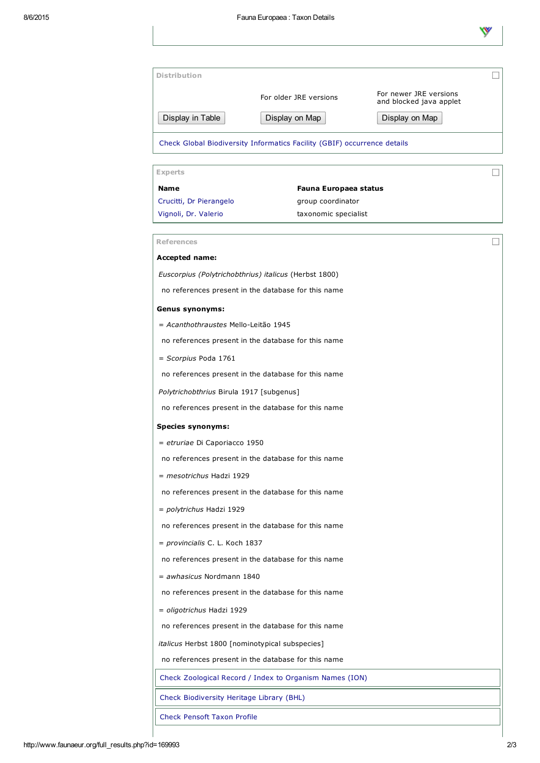|                                                 | For older JRE versions                                                                                       | For newer JRE versions<br>and blocked java applet |
|-------------------------------------------------|--------------------------------------------------------------------------------------------------------------|---------------------------------------------------|
| Display in Table                                | Display on Map                                                                                               | Display on Map                                    |
|                                                 |                                                                                                              |                                                   |
|                                                 | Check Global Biodiversity Informatics Facility (GBIF) occurrence details                                     |                                                   |
| <b>Experts</b>                                  |                                                                                                              |                                                   |
| <b>Name</b>                                     | Fauna Europaea status                                                                                        |                                                   |
| Crucitti, Dr Pierangelo                         | group coordinator                                                                                            |                                                   |
| Vignoli, Dr. Valerio                            | taxonomic specialist                                                                                         |                                                   |
| <b>References</b>                               |                                                                                                              |                                                   |
| Accepted name:                                  |                                                                                                              |                                                   |
|                                                 | Euscorpius (Polytrichobthrius) italicus (Herbst 1800)<br>no references present in the database for this name |                                                   |
| <b>Genus synonyms:</b>                          |                                                                                                              |                                                   |
| = Acanthothraustes Mello-Leitão 1945            |                                                                                                              |                                                   |
|                                                 | no references present in the database for this name                                                          |                                                   |
| $=$ Scorpius Poda 1761                          |                                                                                                              |                                                   |
|                                                 | no references present in the database for this name                                                          |                                                   |
| Polytrichobthrius Birula 1917 [subgenus]        |                                                                                                              |                                                   |
|                                                 | no references present in the database for this name                                                          |                                                   |
| <b>Species synonyms:</b>                        |                                                                                                              |                                                   |
| $=$ etruriae Di Caporiacco 1950                 | no references present in the database for this name                                                          |                                                   |
| = mesotrichus Hadzi 1929                        |                                                                                                              |                                                   |
|                                                 | no references present in the database for this name                                                          |                                                   |
| = polytrichus Hadzi 1929                        |                                                                                                              |                                                   |
|                                                 | no references present in the database for this name                                                          |                                                   |
| = provincialis C. L. Koch 1837                  |                                                                                                              |                                                   |
|                                                 | no references present in the database for this name                                                          |                                                   |
| $=$ awhasicus Nordmann 1840                     |                                                                                                              |                                                   |
|                                                 | no references present in the database for this name                                                          |                                                   |
| = oligotrichus Hadzi 1929                       |                                                                                                              |                                                   |
|                                                 | no references present in the database for this name                                                          |                                                   |
| italicus Herbst 1800 [nominotypical subspecies] |                                                                                                              |                                                   |
|                                                 | no references present in the database for this name                                                          |                                                   |
|                                                 | Check Zoological Record / Index to Organism Names (ION)                                                      |                                                   |